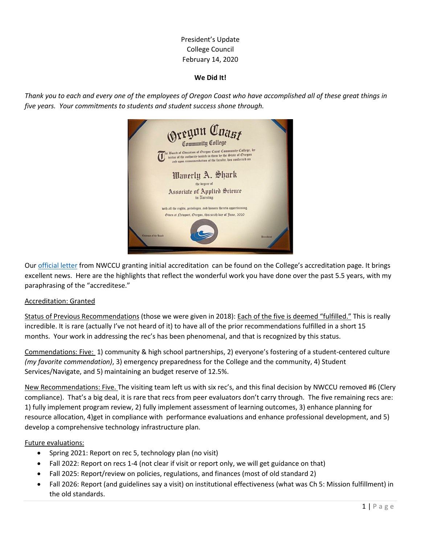# President's Update College Council February 14, 2020

### **We Did It!**

*Thank you to each and every one of the employees of Oregon Coast who have accomplished all of these great things in five years. Your commitments to students and student success shone through.*



Our [official letter](https://www.oregoncoastcc.org/wp-content/uploads/2020/02/2020.01-Oregon-Coast-CC-INITIAL.pdf) from NWCCU granting initial accreditation can be found on the College's accreditation page. It brings excellent news. Here are the highlights that reflect the wonderful work you have done over the past 5.5 years, with my paraphrasing of the "accreditese."

#### Accreditation: Granted

Status of Previous Recommendations (those we were given in 2018): Each of the five is deemed "fulfilled." This is really incredible. It is rare (actually I've not heard of it) to have all of the prior recommendations fulfilled in a short 15 months. Your work in addressing the rec's has been phenomenal, and that is recognized by this status.

Commendations: Five: 1) community & high school partnerships, 2) everyone's fostering of a student-centered culture *(my favorite commendation)*, 3) emergency preparedness for the College and the community, 4) Student Services/Navigate, and 5) maintaining an budget reserve of 12.5%.

New Recommendations: Five. The visiting team left us with six rec's, and this final decision by NWCCU removed #6 (Clery compliance). That's a big deal, it is rare that recs from peer evaluators don't carry through. The five remaining recs are: 1) fully implement program review, 2) fully implement assessment of learning outcomes, 3) enhance planning for resource allocation, 4)get in compliance with performance evaluations and enhance professional development, and 5) develop a comprehensive technology infrastructure plan.

#### Future evaluations:

- Spring 2021: Report on rec 5, technology plan (no visit)
- Fall 2022: Report on recs 1-4 (not clear if visit or report only, we will get guidance on that)
- Fall 2025: Report/review on policies, regulations, and finances (most of old standard 2)
- Fall 2026: Report (and guidelines say a visit) on institutional effectiveness (what was Ch 5: Mission fulfillment) in the old standards.